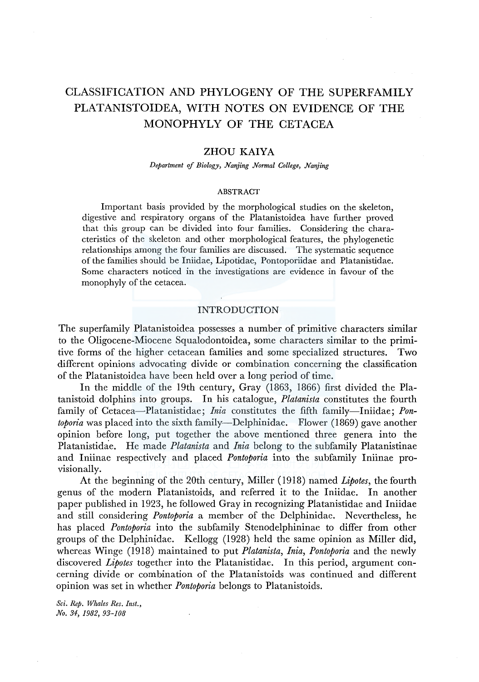# CLASSIFICATION AND PHYLOGENY OF THE SUPERFAMILY PLATANISTOIDEA, WITH NOTES ON EVIDENCE OF THE MONOPHYLY OF THE CETACEA

## ZHOU KAIYA

*Department of Biology, Nanjing Normal College, Nanjing* 

#### ABSTRACT

Important basis provided by the morphological studies on the skeleton, digestive and respiratory organs of the Platanistoidea have further proved that this group can be divided into four families. Considering the characteristics of the skeleton and other morphological features, the phylogenetic relationships among the four families are discussed. The systematic sequence of the families should be Iniidae, Lipotidae, Pontoporiidae and Platanistidae. Some characters noticed in the investigations are evidence in favour of the monophyly of the cetacea.

### INTRODUCTION

The superfamily Platanistoidea possesses a number of primitive characters similar to the Oligocene-Miocene Squalodontoidea, some characters similar to the primitive forms of the higher cetacean families and some specialized structures. Two different opinions advocating divide or combination concerning the classification of the Platanistoidea have been held over a long period of time.

In the middle of the 19th century, Gray (1863, 1866) first divided the Platanistoid dolphins into groups. In his catalogue, *Platanista* constitutes the fourth family of Cetacea-Platanistidae; *Inia* constitutes the fifth family-Iniidae; *Pontoporia* was placed into the sixth family-Delphinidae. Flower (1869) gave another opinion before long, put together the above mentioned three genera into the Platanistidae. He made *Platanista* and *Inia* belong to the subfamily Platanistinae and Iniinae respectively and placed *Pontoporia* into the subfamily Iniinae provisionally.

At the beginning of the 20th century, Miller (1918) named *Lipotes,* the fourth genus of the modern Platanistoids, and referred it to the Iniidae. In another paper published in 1923, he followed Gray in recognizing Platanistidae and Iniidae and still considering *Pontoporia* a member of the Delphinidae. Nevertheless, he has placed *Pontoporia* into the subfamily Stenodelphininae to differ from other groups of the Delphinidae. Kellogg (1928) held the same opinion as Miller did, whereas Winge (1918) maintained to put *Platanista, Inia, Pontoporia* and the newly discovered *Lipotes* together into the Platanistidae. In this period, argument concerning divide or combination of the Platanistoids was continued and different opinion was set in whether *Pontoporia* belongs to Platanistoids.

*Sci. Rep. Whales Res. Inst., No. 34, 1982, 93-108*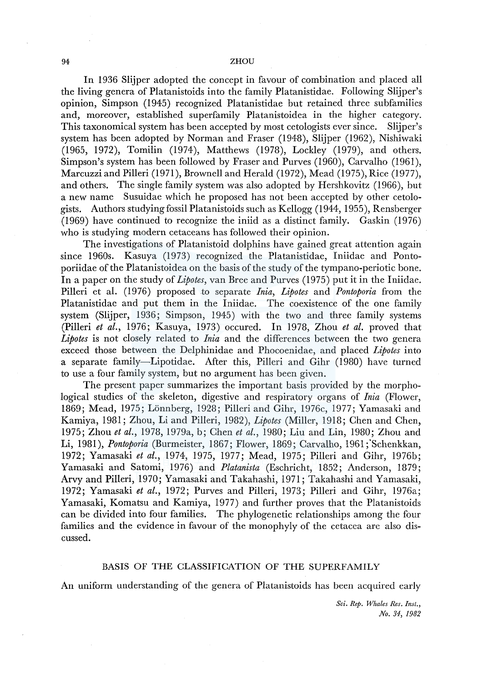In 1936 Slijper adopted the concept in favour of combination and placed all the living genera of Platanistoids into the family Platanistidae. Following Slijper's opinion, Simpson (1945) recognized Platanistidae but retained three subfamilies and, moreover, established superfamily Platanistoidea in the higher category. This taxonomical system has been accepted by most cetologists ever since. Slijper's system has been adopted by Norman and Fraser (1948), Slijper (1962), Nishiwaki (1965, 1972), Tomilin (1974), Matthews (1978), Lockley (1979), and others. Simpson's system has been followed by Fraser and Purves (1960), Carvalho (1961), Marcuzzi and Pilleri (1971), Brownell and Herald (1972), Mead (1975), Rice (1977), and others. The single family system was also adopted by Hershkovitz (1966), but a new name Susuidae which he proposed has not been accepted by other cetologists. Authors studying fossil Platanistoids such as Kellogg (1944, 1955 ), Rensberger (1969) have continued to recognize the iniid as a distinct family. Gaskin (1976) who is studying modern cetaceans has followed their opinion.

The investigations of Platanistoid dolphins have gained great attention again since 1960s. Kasuya (1973) recognized the Platanistidae, lniidae and Pontoporiidae of the Platanistoidea on the basis of the study of the tympano-periotic bone. In a paper on the study of *Lipotes,* van Bree and Purves (1975) put it in the lniidae. Pilleri et al. (1976) proposed to separate *Inia, Lipotes* and *Pontoporia* from the Platanistidae and put them in the lniidae. The coexistence of the one family system (Slijper, 1936; Simpson, 1945) with the two and three family systems (Pilleri *et al.,* 1976; Kasuya, 1973) occured. In 1978, Zhou *et al.* proved that *Lipotes* is not closely related to *Inia* and the differences between the two genera exceed those between the Delphinidae and Phocoenidae, and placed *Lipotes* into a separate family-Lipotidae. After this, Pilleri and Gihr (1980) have turned to use a four family system, but no argument has been given.

The present paper summarizes the important basis provided by the morphological studies of the skeleton, digestive and respiratory organs of *Inia* (Flower, 1869; Mead, 1975; Lonnberg, 1928; Pilleri and Gihr, 1976c, 1977; Yamasaki and Kamiya, 1981; Zhou, Li and Pilleri, 1982), *Lipotes* (Miller, 1918; Chen and Chen, 1975; Zhou *et al.,* 1978, 1979a, b; Chen *et al.,* 1980; Liu and Lin, 1980; Zhou and Li, 1981), *Pontoporia* (Burmeister, 1867; Flower, 1869; Carvalho, 1961;"Schenkkan, 1972; Yamasaki *et al.,* 1974, 1975, 1977; Mead, 1975; Pilleri and Gihr, 1976b; Yamasaki and Satomi, 1976) and *Platanista* (Eschricht, 1852; Anderson, 1879; Arvy and Pilleri, 1970; Yamasaki and Takahashi, 1971 ; Takahashi and Yamasaki, 1972; Yamasaki *et al.,* 1972; Purves and Pilleri, 1973; Pilleri and Gihr, 1976a; Yamasaki, Komatsu and Kamiya, 1977) and further proves that the Platanistoids can be divided into four families. The phylogenetic relationships among the four families and the evidence in favour of the monophyly of the cetacea are also discussed.

### BASIS OF THE CLASSIFICATION OF THE SUPERFAMILY

An uniform understanding of the genera of Platanistoids has been acquired early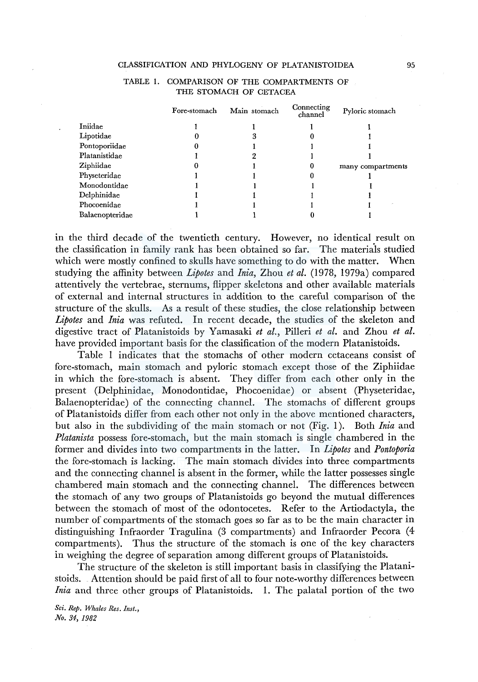### CLASSIFICATION AND PHYLOGENY OF PLATANISTOIDEA

|                 | Fore-stomach | Main stomach | Connecting<br>channel | Pyloric stomach   |
|-----------------|--------------|--------------|-----------------------|-------------------|
| Iniidae         |              |              |                       |                   |
| Lipotidae       |              |              |                       |                   |
| Pontoporiidae   |              |              |                       |                   |
| Platanistidae   |              |              |                       |                   |
| Ziphiidae       |              |              |                       | many compartments |
| Physeteridae    |              |              |                       |                   |
| Monodontidae    |              |              |                       |                   |
| Delphinidae     |              |              |                       |                   |
| Phocoenidae     |              |              |                       |                   |
| Balaenopteridae |              |              |                       |                   |

### TABLE I. COMPARISON OF THE COMPARTMENTS OF THE STOMACH OF CETACEA

in the third decade of the twentieth century. However, no identical result on the classification in family rank has been obtained so far. The materials studied which were mostly confined to skulls have something to do with the matter. When studying the affinity between *Lipotes* and *Inia,* Zhou *et al.* (1978, 1979a) compared attentively the vertebrae, sternums, flipper skeletons and other available materials of external and internal structures in addition to the careful comparison of the structure of the skulls. As a result of these studies, the close relationship between *Lipotes* and *Inia* was refuted. In recent decade, the studies of the skeleton and digestive tract of Platanistoids by Yamasaki *et al.,* Pilleri *et al.* and Zhou *et al.*  have provided important basis for the classification of the modern Platanistoids.

Table 1 indicates that the stomachs of other modern cetaceans consist of fore-stomach, main stomach and pyloric stomach except those of the Ziphiidae in which the fore-stomach is absent. They differ from each other only in the present (Delphinidae, Monodontidae, Phocoenidae) or absent (Physeteridae, Balaenopteridae) of the connecting channel. The stomachs of different groups of Platanistoids differ from each other not only in the above mentioned characters, but also in the subdividing of the main stomach or not (Fig. 1 ). Both *Inia* and *Platanista* possess fore-stomach, but the main stomach is single chambered in the former and divides into two compartments in the latter. In *Lipotes* and *Pontoporia* the fore-stomach is lacking. The main stomach divides into three compartments and the connecting channel is absent in the former, while the latter possesses single chambered main stomach and the connecting channel. The differences between the stomach of any two groups of Platanistoids go beyond the mutual differences between the stomach of most of the odontocetes. Refer to the Artiodactyla, the number of compartments of the stomach goes so far as to be the main character in distinguishing Infraorder Tragulina (3 compartments) and Infraorder Pecora ( 4 compartments). Thus the structure of the stomach is one of the key characters in weighing the degree of separation among different groups of Platanistoids.

The structure of the skeleton is still important basis in classifying the Platanistoids. Attention should be paid first of all to four note-worthy differences between *Inia* and three other groups of Platanistoids. 1. The palatal portion of the two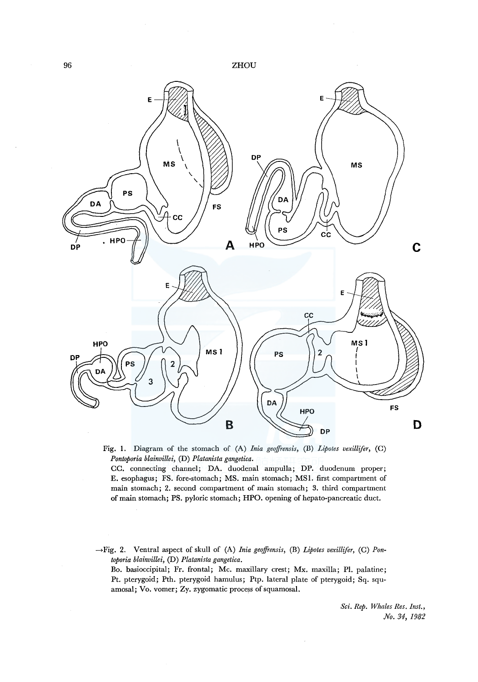

Fig. 1. Diagram of the stomach of (A) *Inia geoffrensis*, (B) *Lipotes vexillifer*, (C) *Pontoporia blainvillei,* (D) *Platanista gangetica.* 

CC. connecting channel; DA. duodenal ampulla; DP. duodenum proper; E. esophagus; FS. fore-stomach; MS. main stomach; MSI. first compartment of main stomach; 2. second compartment of main stomach; 3. third compartment of main stomach; PS. pyloric stomach; HPO. opening of hepato-pancreatic duct.

->Fig. 2. Ventral aspect of skull of (A) *Inia geoffrensis,* (B) *Lipotes vexillifer,* (C) *Pontoporia blainvillei,* (D) *Platanista gangetica.*  Bo. basioccipital; Fr. frontal; Mc. maxillary crest; Mx. maxilla; Pl. palatine; Pt. pterygoid; Pth. pterygoid hamulus; Ptp. lateral plate of pterygoid; Sq. squamosal; Vo. vomer; Zy. zygomatic process of squamosal.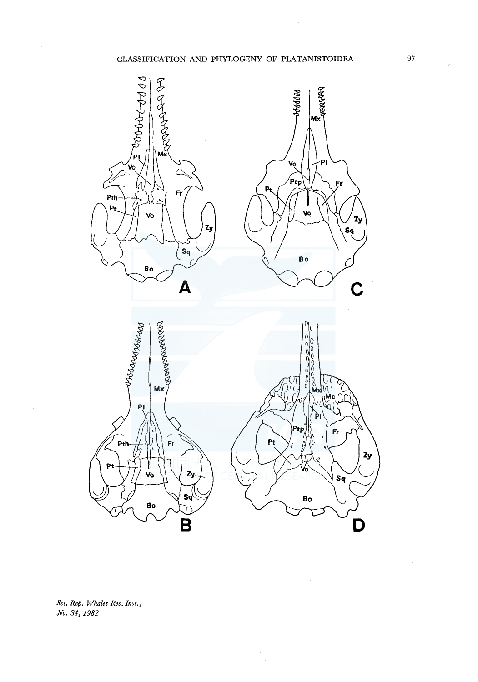

*Sci. Rep. Whales Res. Inst., .No. 34, 1982*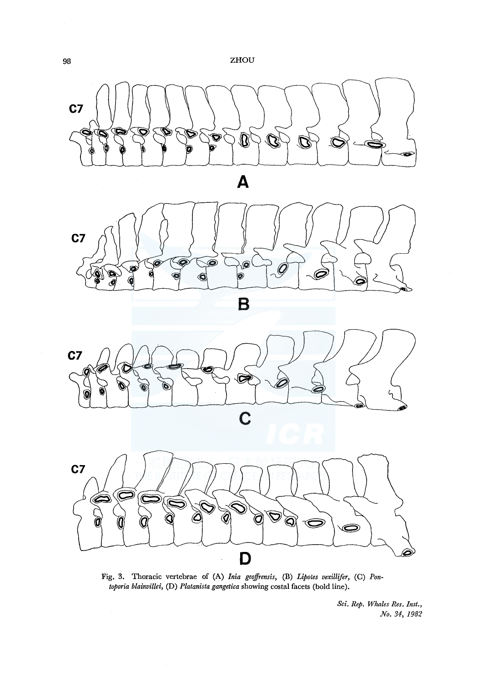







· D . . (C) *Pon-* <sup>L</sup> *;hotes vexillifer,* . (B) i,, • ) *Inia geojfrenszs,* f: ts (bold !me . toporia blainvillei, (D) Platanista gangetica showing costal facets (bold line).

No. 34, 1982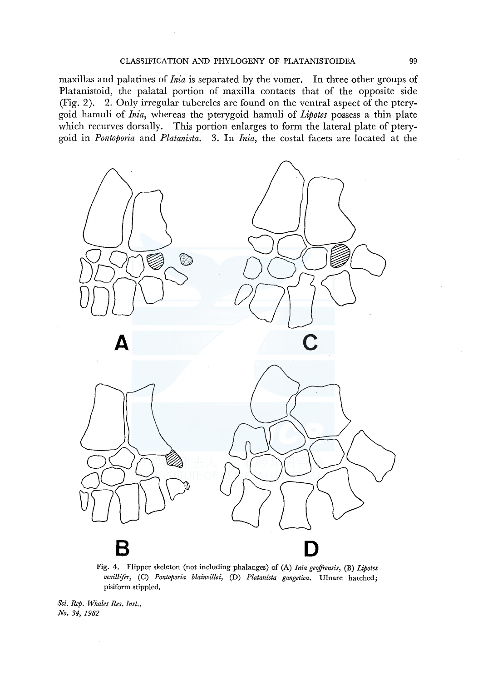maxillas and palatines of *lnia* is separated by the vomer. In three other groups of Platanistoid, the palatal portion of maxilla contacts that of the opposite side (Fig. 2). 2. Only irregular tubercles are found on the ventral aspect of the pterygoid hamuli of *lnia,* whereas the pterygoid hamuli of *Lipotes* possess a thin plate which recurves dorsally. This portion enlarges to form the lateral plate of pterygoid in *Pontoporia* and *Platanista.* 3. In *lnia,* the costal facets are located at the



Fig. 4. Flipper skeleton (not including phalanges) of (A) *Inia geoffrensis,* (B) *Lipotes vexillifer,* (C) *Pontoporia blainvillei,* (D) *Platanista gangetica.* Ulnare hatched; pisiform stippled.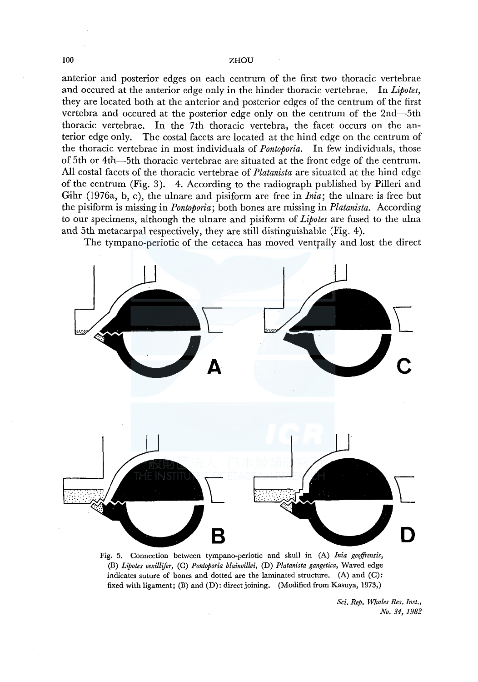anterior and posterior edges on each centrum of the first two thoracic vertebrae and occured at the anterior edge only in the hinder thoracic vertebrae. In *Lipotes,*  they are located both at the anterior and posterior edges of the centrum of the first vertebra and occured at the posterior edge only on the centrum of the 2nd-5th thoracic vertebrae. In the 7th thoracic vertebra, the facet occurs on the anterior edge only. The costal facets are located at the hind edge on the centrum of the thoracic vertebrae in most individuals of *Pontoporia.* In few individuals, those of 5th or 4th-5th thoracic vertebrae are situated at the front edge of the centrum. All costal facets of the thoracic vertebrae of *Platanista* are situated at the hind edge of the centrum (Fig. 3 ). 4. According to the radiograph published by Pilleri and Gihr (1976a, b, c), the ulnare and pisiform are free in *Inia;* the ulnare is free but the pisiform is missing in *Pontoporia;* both bones are missing in *Platanista.* According to our specimens, although the ulnare and pisiform of *Lipotes* are fused to the ulna and 5th metacarpal respectively, they are still distinguishable (Fig. 4).

The tympano-periotic of the cetacea has moved ventrally and lost the direct



Fig. 5. Connection between tympano-periotic and skull in (A) *lnia geoffrensis,*  (B) *Lipotes vexillifer,* (C) *Pontoporia blainvillei,* (D) *P!atanista gangetica,* Waved edge indicates suture of bones and dotted are the laminated structure. (A) and (C): fixed with ligament; (B) and (D): direct joining. (Modified from Kasuya, 1973,)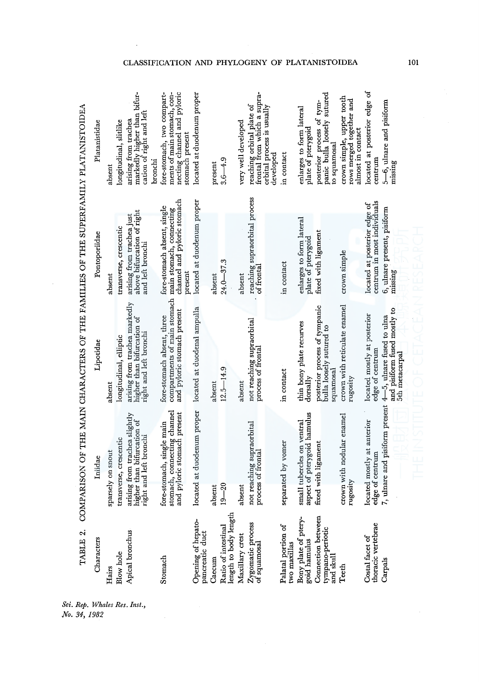|                                                                                     | <b>CLASSIFICATION</b><br>AND<br><b>PHYLOGENY</b><br>PLATANISTOIDEA<br>OF |                   |                        |                                                                                            |                                                                                                             |                                       | $\mathbf{1}$ |                                              |                     |                                                                                                     |                                    |                                                           |                                                                          |                                                                            |                                                             |                                                                             |  |
|-------------------------------------------------------------------------------------|--------------------------------------------------------------------------|-------------------|------------------------|--------------------------------------------------------------------------------------------|-------------------------------------------------------------------------------------------------------------|---------------------------------------|--------------|----------------------------------------------|---------------------|-----------------------------------------------------------------------------------------------------|------------------------------------|-----------------------------------------------------------|--------------------------------------------------------------------------|----------------------------------------------------------------------------|-------------------------------------------------------------|-----------------------------------------------------------------------------|--|
|                                                                                     | Platanistidae                                                            | absent            | longitudinal, slitlike | markedly higher than bifur-<br>cation of right and left<br>arising from trachea<br>bronchi | necting channel and pyloric<br>fore-stomach, two compart-<br>ments of main stomach, con-<br>stomach present | located at duodenum proper            | present      | $3.6 - 4.9$                                  | very well developed | frontal from which a supra-<br>reaching orbital plate of<br>orbital process is usually<br>developed | in contact                         | enlarges to form lateral<br>plate of pterygoid            | panic bulla loosely sutured<br>posterior process of tym-<br>to squamosal | crown simple, upper tooth<br>rows merged together and<br>almost in contact | located at posterior edge of<br>centrum                     | 5-6, ulnare and pisiform<br>missing                                         |  |
|                                                                                     | Pontoporiidae                                                            | absent            | transverse, crescentic | above bifurcation of right<br>arising from trachea just<br>and left bronchi                | channel and pyloric stomach<br>fore-stomach absent, single<br>main stomach, connecting<br>present           | located at duodenum proper            | absent       | $24.0 - 37.3$                                | absent              | reaching supraorbital process<br>of frontal                                                         | in contact                         | enlarges to form lateral<br>plate of pterygoid            | fixed with ligament                                                      | crown simple                                                               | centrum in most individuals<br>located at posterior edge of | 6, ulnare present, pisiform<br>missing                                      |  |
| COMPARISON OF THE MAIN CHARACTERS OF THE FAMILIES OF THE SUPERFAMILY PLATANISTOIDEA | Lipotidae                                                                | absent            | longitudinal, elliptic | arising from trachea markedly<br>higher than bifurcation of<br>right and left bronchi      | compartments of main stomach<br>and pyloric stomach present<br>fore-stomach absent, three                   | located at duodenal ampulla           | absent       | $12.5 - 14.9$                                | absent              | not reaching supraorbital<br>process of frontal                                                     | in contact                         | thin bony plate recurves<br>dorsally                      | posterior process of tympanic<br>bulla loosely sutured to<br>squamosal   | crown with reticulate enamel<br>rugosity                                   | located mostly at posterior<br>edge of centrum              | and pisiform fused mostly to<br>4-5, ulnare fused to ulna<br>5th metacarpal |  |
|                                                                                     | Iniidae                                                                  | sparsely on snout | transverse, crescentic | arising from trachea slightly<br>higher than bifurcation of<br>right and left bronchi      | connecting channel<br>and pyloric stomach present<br>fore-stomach, single main<br>stomach,                  | duodenum proper<br>located at         | absent       | $19 - 20$                                    | absent              | not reaching supraorbital<br>process of frontal                                                     | by vomer<br>separated              | aspect of pterygoid hamulus<br>small tubercles on ventral | fixed with ligament                                                      | crown with nodular enamel<br>rugosity                                      | located mostly at anterior<br>edge of centrum               | 7, ulnare and pisiform present                                              |  |
| TABLE 2.                                                                            | Characters                                                               | Hairs             | Blow hole              | Apical bronchus                                                                            | Stomach                                                                                                     | Opening of hepato-<br>pancreatic duct | Caecum       | length to body length<br>Ratio of intestinal | Maxillary crest     | Zygomatic process<br>of squamosal                                                                   | Palatal portion of<br>two maxillas | Bony plate of ptery-<br>goid hamulus                      | Connection<br>between<br>tympano-periotic<br>and skull                   | Teeth                                                                      | thoracic vertebrae<br>Costal facet of                       | Carpals                                                                     |  |
|                                                                                     | Rep. Whales Res. Inst.,<br>34, 1982                                      |                   |                        |                                                                                            |                                                                                                             |                                       |              |                                              |                     |                                                                                                     |                                    |                                                           |                                                                          |                                                                            |                                                             |                                                                             |  |

Ę č ţ ć Ĭ Ē p ¢ ţ ł Ì ă ŗ Š

 $\mathcal{L}$ 

S<mark>ci. Rep.</mark> Whales<br>No. 34, 1982

## **SIFICATION AND PHYLOGENY OF PLATANISTOIDE**

 $\bar{z}$ 

101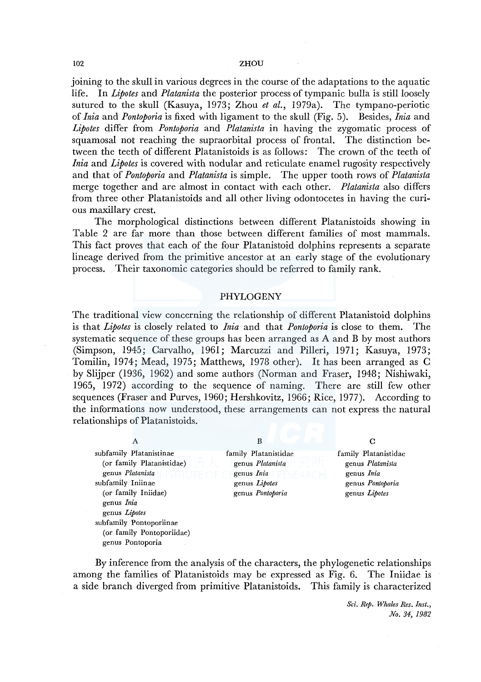joining to the skull in various degrees in the course of the adaptations to the aquatic life. In *Lipotes* and *Platanista* the posterior process of tympanic bulla is still loosely sutured to the skull (Kasuya, 1973; Zhou *et al.,* 1979a). The tympano-periotic of *Inia* and *Pontoporia* is fixed with ligament to the skull (Fig. 5 ). Besides, *Inia* and *Lipotes* differ from *Pontoporia* and *Platanista* in having the zygomatic process of squamosal not reaching the supraorbital process of frontal. The distinction between the teeth of different Platanistoids is as follows: The crown of the teeth of *Inia* and *Lipotes* is covered with nodular and reticulate enamel rugosity respectively and that of *Pontoporia* and *Platanista* is simple. The upper tooth rows of *Platanista*  merge together and are almost in contact with each other. *Platanista* also differs from three other Platanistoids and all other living odontocetes in having the curious maxillary crest.

The morphological distinctions between different Platanistoids showing in Table 2 are far more than those between different families of most mammals. This fact proves that each of the four Platanistoid dolphins represents a separate lineage derived from the primitive ancestor at an early stage of the evolutionary process. Their taxonomic categories should be referred to family rank.

### PHYLOGENY

The traditional view concerning the relationship of different Platanistoid dolphins is that *Lipotes* is closely related to *Inia* and that *Pontoporia* is close to them. The systematic sequence of these groups has been arranged as A and B by most authors (Simpson, 1945; Carvalho, 1961; Marcuzzi and Pilleri, 1971; Kasuya, 1973; Tomilin, 1974; Mead, 1975; Matthews, 1978 other). It has been arranged as C by Slijper (1936, 1962) and some authors (Norman and Fraser, 1948; Nishiwaki, 1965, 1972) according to the sequence of naming. There are still few other sequences (Fraser and Purves, 1960; Hershkovitz, 1966; Rice, 1977). According to the informations now understood, these arrangements can not express the natural relationships of Platanistoids.

| Α                                                    | В                                        |                                          |
|------------------------------------------------------|------------------------------------------|------------------------------------------|
| subfamily Platanistinae<br>(or family Platanistidae) | family Platanistidae<br>genus Platanista | family Platanistidae<br>genus Platanista |
| genus Platanista                                     | genus Inia<br>-SEARCI                    | genus <i>Inia</i>                        |
| subfamily Iniinae                                    | genus Lipotes                            | genus Pontoporia                         |
| (or family Iniidae)<br>genus Inia                    | genus Pontoporia                         | genus Lipotes                            |
| genus Lipotes                                        |                                          |                                          |
| subfamily Pontoporiinae                              |                                          |                                          |
| (or family Pontoporiidae)                            |                                          |                                          |

By inference from the analysis of the characters, the phylogenetic relationships among the families of Platanistoids may be expressed as Fig. 6. The Iniidae is a side branch diverged from primitive Platanistoids. This family is characterized

genus Pontoporia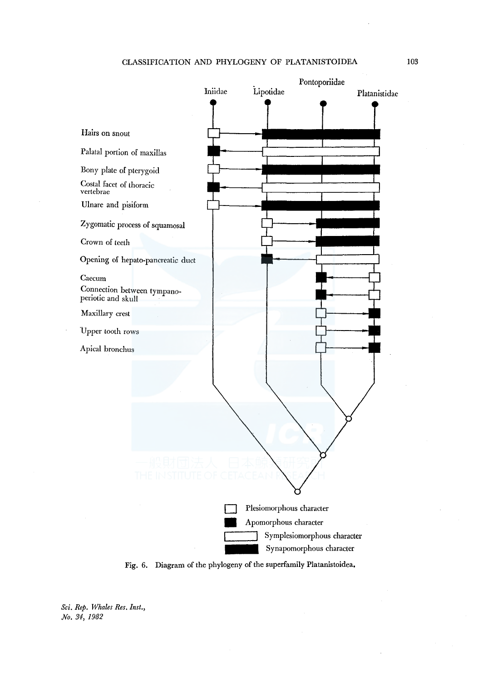

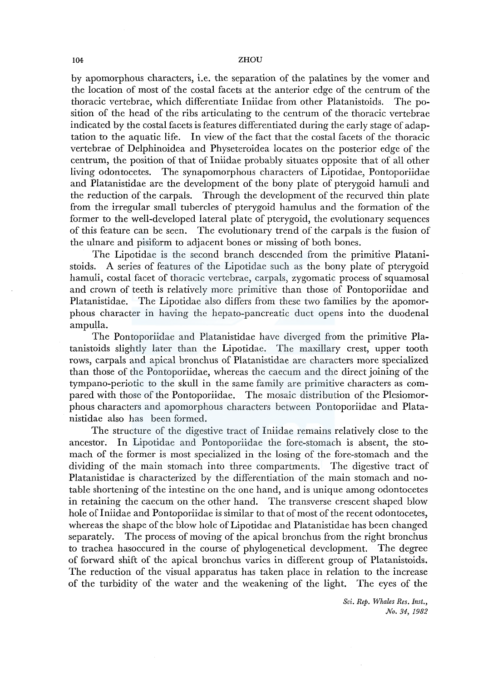by apomorphous characters, i.e. the separation of the palatines by the vomer and the location of most of the costal facets at the anterior edge of the centrum of the thoracic vertebrae, which differentiate lniidae from other Platanistoids. The position of the head of the ribs articulating to the centrum of the thoracic vertebrae indicated by the costal facets is features differentiated during the early stage of adaptation to the aquatic life. In view of the fact that the costal facets of the thoracic vertebrae of Delphinoidea and Physeteroidea locates on the posterior edge of the centrum, the position of that of lniidae probably situates opposite that of all other living odontocetes. The synapomorphous characters of Lipotidae, Pontoporiidae and Platanistidae are the development of the bony plate of pterygoid hamuli and the reduction of the carpals. Through the development of the recurved thin plate from the irregular small tubercles of pterygoid hamulus and the formation of the former to the well-developed lateral plate of pterygoid, the evolutionary sequences of this feature can be seen. The evolutionary trend of the carpals is the fusion of the ulnare and pisiform to adjacent bones or missing of both bones.

The Lipotidae is the second branch descended from the primitive Platanistoids. A series of features of the Lipotidae such as the bony plate of pterygoid hamuli, costal facet of thoracic vertebrae, carpals, zygomatic process of squamosal and crown of teeth is relatively more primitive than those of Pontoporiidae and Platanistidae. The Lipotidae also differs from these two families by the apomorphous character in having the hepato-pancreatic duct opens into the duodenal ampulla.

The Pontoporiidae and Platanistidae have diverged from the primitive Platanistoids slightly later than the Lipotidae. The maxillary crest, upper tooth rows, carpals and apical bronchus of Platanistidae are characters more specialized than those of the Pontoporiidae, whereas the caecum and the direct joining of the tympano-periotic to the skull in the same family are primitive characters as compared with those of the Pontoporiidae. The mosaic distribution of the Plesiomorphous characters and apomorphous characters between Pontoporiidae and Platanistidae also has been formed.

The structure of the digestive tract of lniidae remains relatively close to the ancestor. In Lipotidae and Pontoporiidae the fore-stomach is absent, the stomach of the former is most specialized in the losing of the fore-stomach and the dividing of the main stomach into three compartments. The digestive tract of Platanistidae is characterized by the differentiation of the main stomach and notable shortening of the intestine on the one hand, and is unique among odontocetes in retaining the caecum on the other hand. The transverse crescent shaped blow hole of lniidae and Pontoporiidae is similar to that of most of the recent odontocetes, whereas the shape of the blow hole of Lipotidae and Platanistidae has been changed separately. The process of moving of the apical bronchus from the right bronchus to trachea hasoccured in the course of phylogenetical development. The degree of forward shift of the apical bronchus varies in different group of Platanistoids. The reduction of the visual apparatus has taken place in relation to the increase of the turbidity of the water and the weakening of the light. The eyes of the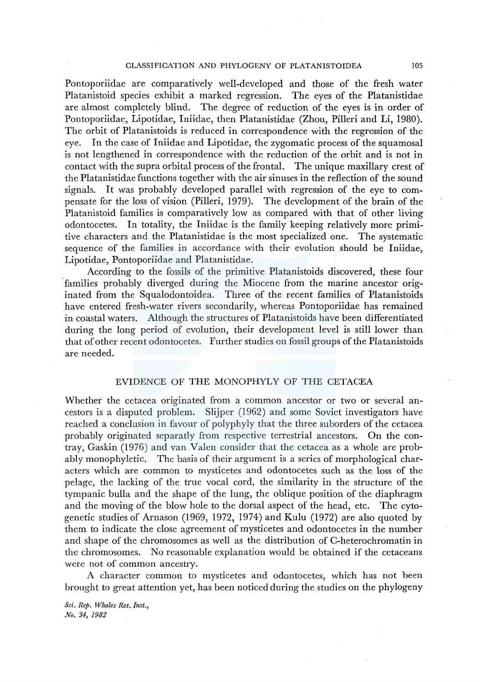Pontoporiidae are comparatively well-developed and those of the fresh water Platanistoid species exhibit a marked regression. The eyes of the Platanistidae are almost completely blind. The degree of reduction of the eyes is in order of Pontoporiidae, Lipotidae, Iniidae, then Platanistidae (Zhou, Pilleri and Li, 1980). The orbit of Platanistoids is reduced in correspondence with the regression of the eye. In the case of Iniidae and Lipotidae, the zygomatic process of the squamosal is not lengthened in correspondence with the reduction of the orbit and is not in contact with the supra orbital process of the frontal. The unique maxillary crest of the Platanistidae functions together with the air sinuses in the reflection of the sound signals. It was probably developed parallel with regression of the eye to compensate for the loss of vision (Pilleri, 1979). The development of the brain of the Platanistoid families is comparatively low as compared with that of other living odontocetes. In totality, the lniidae is the family keeping relatively more primitive characters and the Platanistidae is the most specialized one. The systematic sequence of the families in accordance with their evolution should be Iniidae, Lipotidae, Pontoporiidae and Platanistidae.

According to the fossils of the primitive Platanistoids discovered, these four families probably diverged during the Miocene from the marine ancestor originated from the Squalodontoidea. Three of the recent families of Platanistoids have entered fresh-water rivers secondarily, whereas Pontoporiidae has remained in coastal waters. Although the structures of Platanistoids have been differentiated during the long period of evolution, their development level is still lower than that of other recent odontocetes. Further studies on fossil groups of the Platanistoids are needed.

## EVIDENCE OF THE MONOPHYLY OF THE CETACEA

Whether the cetacea originated from a common ancestor or two or several ancestors is a disputed problem. Slijper (1962) and some Soviet investigators have reached a conclusion in favour of polyphyly that the three suborders of the cetacea probably originated separatly from respective terrestrial ancestors. On the contray, Gaskin (1976) and van Valen consider that the cetacea as a whole are probably monophyletic. The basis of their argument is a series of morphological characters which are common to mysticetes and odontocetes such as the loss of the pelage, the lacking of the true vocal cord, the similarity in the structure of the tympanic bulla and the shape of the lung, the oblique position of the diaphragm and the moving of the blow hole to the dorsal aspect of the head, etc. The cytogenetic studies of Amason (1969, 1972, 1974) and Kulu (1972) are also quoted by them to indicate the close agreement of mysticetes and odontocetes in the number and shape of the chromosomes as well as the distribution of C-heterochromatin in the chromosomes. No reasonable explanation would be obtained if the cetaceans were not of common ancestry.

A character common to mysticetes and odontocetes, which has not been brought to great attention yet, has been noticed during the studies on the phylogeny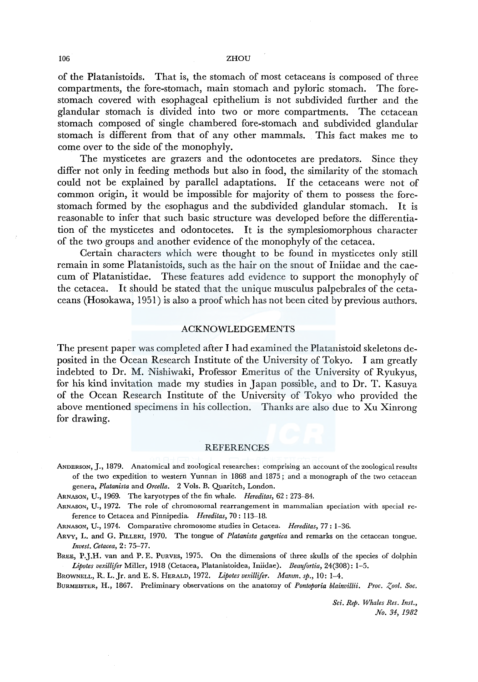of the Platanistoids. That is, the stomach of most cetaceans is composed of three compartments, the fore-stomach, main stomach and pyloric stomach. The forestomach covered with esophageal epithelium is not subdivided further and the glandular stomach is divided into two or more compartments. The cetacean stomach composed of single chambered fore-stomach and subdivided glandular stomach is different from that of any other mammals. This fact makes me to come over to the side of the monophyly.

The mysticetes are grazers and the odontocetes are predators. Since they differ not only in feeding methods but also in food, the similarity of the stomach could not be explained by parallel adaptations. If the cetaceans were not of common origin, it would be impossible for majority of them to possess the forestomach formed by the esophagus and the subdivided glandular stomach. It is reasonable to infer that such basic structure was developed before the differentiation of the mysticetes and odontocetes. It is the symplesiomorphous character of the two groups and another evidence of the monophyly of the cetacea.

Certain characters which were thought to be found in mysticetes only still remain in some Platanistoids, such as the hair on the snout of Iniidae and the caecum of Platanistidae. These features add evidence to support the monophyly of the cetacea. It should be stated that the unique musculus palpebrales of the cetaceans (Hosokawa, 1951) is also a proof which has not been cited by previous authors.

## ACKNOWLEDGEMENTS

The present paper was completed after I had examined the Platanistoid skeletons deposited in the Ocean Research Institute of the University of Tokyo. I am greatly indebted to Dr. M. Nishiwaki, Professor Emeritus of the University of Ryukyus, for his kind invitation made my studies in Japan possible, and to Dr. T. Kasuya of the Ocean Research Institute of the University of Tokyo who provided the above mentioned specimens in his collection. Thanks are also due to Xu Xinrong for drawing.

### REFERENCES

- ANDERSON, J., 1879. Anatomical and zoological researches: comprising an account of the zoological results of the two expedition to western Yunnan in 1868 and 1875; and a monograph of the two cetacean genera, *Platanista* and *Orcella.* 2 Vols. B. Quaritch, London.
- ARNASON, U., 1969. The karyotypes of the fin whale. *Hereditas,* 62: 273-84.
- ARNASON, U., 1972. The role of chromosomal rearrangement in mammalian speciation with special reference to Cetacea and Pinnipedia. *Hereditas,* 70: 113-18.
- ARNASON, U., 1974. Comparative chromosome studies in Cetacea. *Hereditas,* 77: 1-36.
- ARVY, L. and G. PILLERI, 1970. The tongue of *Platanista gangetica* and remarks on the cetacean tongue. *Invest. Cetacea,* 2: 7 5-77.

BREE, P.J.H. van and P. E. PuRVEs, 1975. On the dimensions of three skulls of the species of dolphin *Lipotes vexillifer* Miller, 1918 (Cetacea, Platanistoidea, Iniidae). *Beaufortia,* 24(308): 1-5.

BROWNELL, R. L. Jr. and E. S. HERALD, 1972. *Lipotes vexillifer. Mamm. sp.,* 10: 1-4.

BURMEISTER, H., 1867. Preliminary observations on the anatomy of *Pontoporia blainvillii. Proc. Zoo!. Soc.*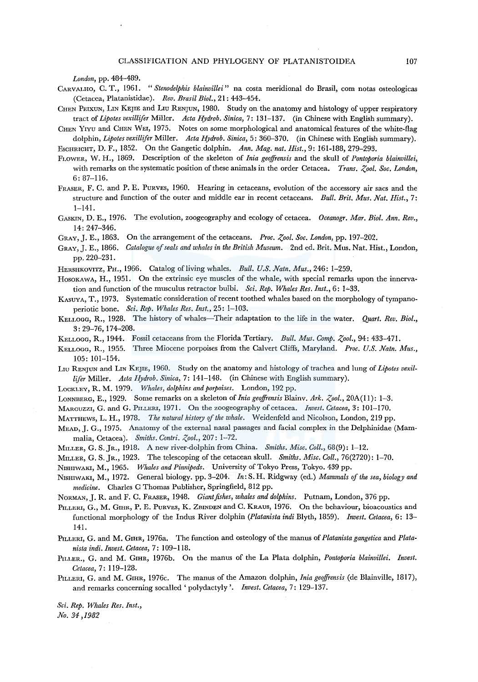*London,* pp. 484-489.

- CARVALHO, C. T., 1961. *"Stenodelphis blainvillei"* na costa meridional do Brasil, corn notas osteologicas (Cetacea, Platanistidae). *Rev. Brasil Biol.,* 21: 443-454.
- CHEN PEIXUN, LIN KEJIE and LIU RENJUN, 1980. Study on the anatomy and histology of upper respiratory tract of *Lipotes vexillifer* Miller. *Acta Hydrob. Sinica,* 7: 131-137. (in Chinese with English summary).
- CHEN YrYu and CHEN WEI, 1975. Notes on some morphological and anatomical features of the white-flag dolphin, *Lipotes vexillifer* Miller. *Acta Hydrob. Sinica,* 5: 360-370. (in Chinese with English summary).

EscHRICHT, D. F., 1852. On the Gangetic dolphin. *Ann. Mag. nat. Hist.,* 9: 161-188, 279-293.

- FLOWER, W. H., 1869. Description of the skeleton of *Inia geoffrensis* and the skull of *Pontoporia blainvillei,*  with remarks on the systematic position of these animals in the order Cetacea. *Trans. Zool. Soc. London*, 6: 87-116.
- FRASER, F. C. and P. E. PURVES, 1960. Hearing in cetaceans, evolution of the accessory air sacs and the structure and function of the outer and middle ear in recent cetaceans. *Bull. Brit. Mus. Nat. Hist.,* 7: 1-141.
- GASKIN, D. E., 1976. The evolution, zoogeography and ecology of cetacea. *Oceanogr. Mar. Biol. Ann. Rev.,*  14: 247-346.
- GRAY, J.E., 1863. On the arrangement of the cetaceans. *Proc. Z,ool. Soc. London,* pp. 197-202.
- GRAY, J.E., 1866. *Catalogue* ef *seals and whales in the British Museum.* 2nd ed. Brit. Mus. Nat. Hist., London, pp. 220-231.
- HERSHKOVITZ, PH., 1966. Catalog of living whales. *Bull. U.S. Natn. Mus.*, 246: 1-259.
- Hosokawa, H., 1951. On the extrinsic eye muscles of the whale, with special remarks upon the innervation and function of the musculus retractor bulbi. *Sci. Rep. Whales Res. Inst.*, 6: 1-33.
- KASUYA, T., 1973. Systematic consideration of recent toothed whales based on the morphology of tympanoperiotic bone. *Sci. Rep. Whales Res. Inst.,* 25: 1-103.
- KELLOGG, R., 1928. The history of whales-Their adaptation to the life in the water. *Quart. Rev. Biol.,*  3: 29-76, 174-208.
- KELLOGG, R., 1944. Fossil cetaceans from the Florida Tertiary. *Bull. Mus. Comp. Z,ool.,* 94: 433-471.
- KELLOGG, R., 1955. Three Miocene porpoises from the Calvert Cliffs, Maryland. *Proc. U.S. Natn. Mus.,*  105: 101-154.
- LIU RENJUN and LIN KEJIE, 1960. Study on the anatomy and histology of trachea and lung of *Lipotes vexillifer* Miller. *Acta Hydrob. Sinica,* 7: 141-148. (in Chinese with English summary).
- LooKLEY, R. M. 1979. *Whales, dolphins and porpoises.* London, 192 pp.
- LoNNBERG, E., 1929. Some remarks on a skeleton of *Inia geojfrensis* Blainv. *Ark. Z,ool.,* 20A(l 1): 1-3.
- MARcuzzr, G. and G. PrLLERI, 1971. On the zoogeography of cetacea. *Invest. Cetacea,* 3: 101-170.
- MATTHEWS, L. H., 1978. *The natural history of the whale.* Weidenfeld and Nicolson, London, 219 pp.
- MEAD, J. G., 1975. Anatomy of the external nasal passages and facial complex in the Delphinidae (Mammalia, Cetacea). *Smiths. Contri. Zool.*, 207: 1-72.
- MILLER, G. S.JR., 1918. A new river-dolphin from China. *Smiths. Misc. Coll.,* 68(9): 1-12.
- MILLER, G. S.JR., 1923. The telescoping of the cetacean skull. *Smiths. Misc. Coll.,* 76(2720): 1-70.
- NrsmwAKI, M., 1965. *Whales and Pinnipeds.* University of Tokyo Press, Tokyo. 439 pp.
- NISHIWAKI, M., 1972. General biology. pp. 3-204. *In*: S. H. Ridgway (ed.) *Mammals of the sea, biology and medicine.* Charles C Thomas Publisher, Springfield, 812 pp.
- NORMAN, J. R. and F. C. FRASER, 1948. *Giant.fishes, whales and dolphins.* Putnam, London, 376 pp.
- PILLERI, G., M. GIHR, P. E. PURVES, K. ZBINDEN and C. KRAUS, 1976. On the behaviour, bioacoustics and functional morphology of the Indus River dolphin *(Platanista indi* Blyth, 1859). *Invest. Cetacea,* 6: 13- 141.
- PILLERI, G. and M. GIHR, 1976a. The function and osteology of the manus of *Platanista gangetica* and *Platanista indi. Invest. Cetacea,* 7: 109-118.
- PILLER., G. and M. GIHR, 1976b. On the manus of the La Plata dolphin, *Pontoporia blainvillei. Invest. Cetacea,* 7: 119-128.
- PILLERI, G. and M. GIHR, 1976c. The manus of the Amazon dolphin, *Inia geoffrensis* (de Blainville, 1817), and remarks concerning socalled 'polydactyly '. *Invest. Cetacea,* 7: 129-137.